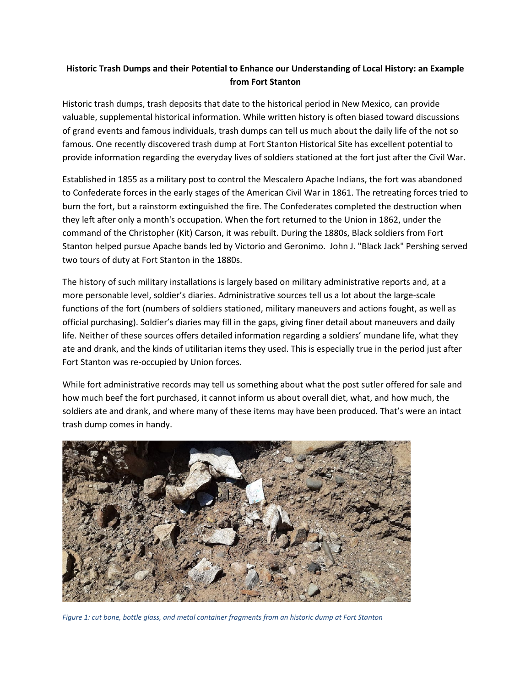## **Historic Trash Dumps and their Potential to Enhance our Understanding of Local History: an Example from Fort Stanton**

Historic trash dumps, trash deposits that date to the historical period in New Mexico, can provide valuable, supplemental historical information. While written history is often biased toward discussions of grand events and famous individuals, trash dumps can tell us much about the daily life of the not so famous. One recently discovered trash dump at Fort Stanton Historical Site has excellent potential to provide information regarding the everyday lives of soldiers stationed at the fort just after the Civil War.

Established in 1855 as a military post to control the Mescalero Apache Indians, the fort was abandoned to Confederate forces in the early stages of the American Civil War in 1861. The retreating forces tried to burn the fort, but a rainstorm extinguished the fire. The Confederates completed the destruction when they left after only a month's occupation. When the fort returned to the Union in 1862, under the command of the Christopher (Kit) Carson, it was rebuilt. During the 1880s, Black soldiers from Fort Stanton helped pursue Apache bands led by Victorio and Geronimo. John J. "Black Jack" Pershing served two tours of duty at Fort Stanton in the 1880s.

The history of such military installations is largely based on military administrative reports and, at a more personable level, soldier's diaries. Administrative sources tell us a lot about the large-scale functions of the fort (numbers of soldiers stationed, military maneuvers and actions fought, as well as official purchasing). Soldier's diaries may fill in the gaps, giving finer detail about maneuvers and daily life. Neither of these sources offers detailed information regarding a soldiers' mundane life, what they ate and drank, and the kinds of utilitarian items they used. This is especially true in the period just after Fort Stanton was re-occupied by Union forces.

While fort administrative records may tell us something about what the post sutler offered for sale and how much beef the fort purchased, it cannot inform us about overall diet, what, and how much, the soldiers ate and drank, and where many of these items may have been produced. That's were an intact trash dump comes in handy.



*Figure 1: cut bone, bottle glass, and metal container fragments from an historic dump at Fort Stanton*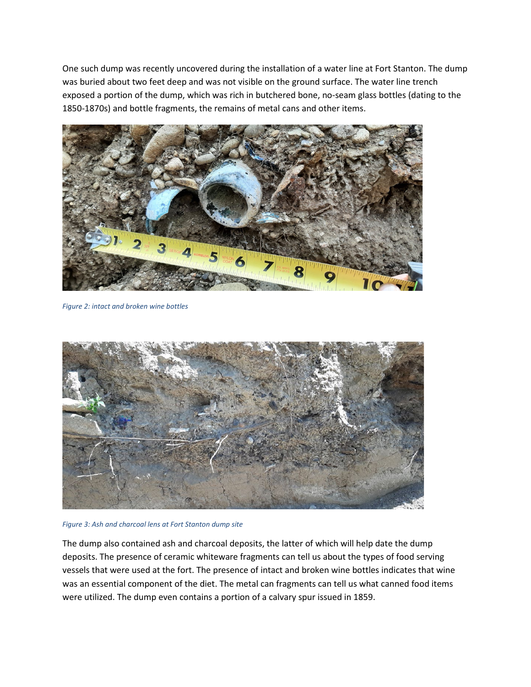One such dump was recently uncovered during the installation of a water line at Fort Stanton. The dump was buried about two feet deep and was not visible on the ground surface. The water line trench exposed a portion of the dump, which was rich in butchered bone, no-seam glass bottles (dating to the 1850-1870s) and bottle fragments, the remains of metal cans and other items.



*Figure 2: intact and broken wine bottles*



*Figure 3: Ash and charcoal lens at Fort Stanton dump site*

The dump also contained ash and charcoal deposits, the latter of which will help date the dump deposits. The presence of ceramic whiteware fragments can tell us about the types of food serving vessels that were used at the fort. The presence of intact and broken wine bottles indicates that wine was an essential component of the diet. The metal can fragments can tell us what canned food items were utilized. The dump even contains a portion of a calvary spur issued in 1859.